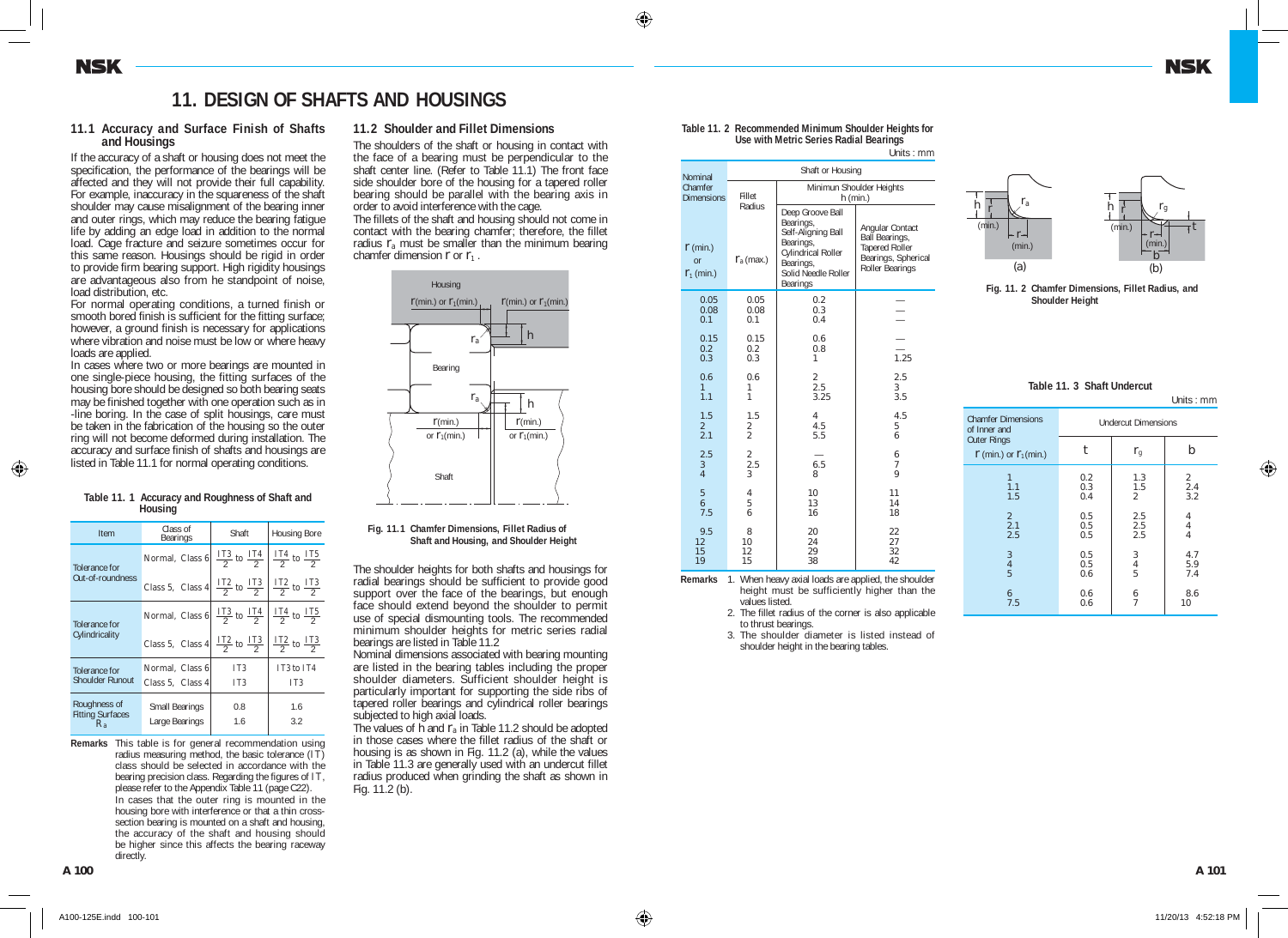# **11. DESIGN OF SHAFTS AND HOUSINGS**

### **11.1 Accuracy and Surface Finish of Shafts and Housings**

If the accuracy of a shaft or housing does not meet the specification, the performance of the bearings will be affected and they will not provide their full capability. For example, inaccuracy in the squareness of the shaft shoulder may cause misalignment of the bearing inner and outer rings, which may reduce the bearing fatigue life by adding an edge load in addition to the normal load. Cage fracture and seizure sometimes occur for this same reason. Housings should be rigid in order to provide firm bearing support. High rigidity housings are advantageous also from he standpoint of noise, load distribution, etc.

For normal operating conditions, a turned finish or smooth bored finish is sufficient for the fitting surface; however, a ground finish is necessary for applications where vibration and noise must be low or where heavy loads are applied.

In cases where two or more bearings are mounted in one single-piece housing, the fitting surfaces of the housing bore should be designed so both bearing seats may be finished together with one operation such as in -line boring. In the case of split housings, care must be taken in the fabrication of the housing so the outer ring will not become deformed during installation. The accuracy and surface finish of shafts and housings are listed in Table 11.1 for normal operating conditions.

#### **Table 11. 1 Accuracy and Roughness of Shaft and Housing**

| Item                                               | Class of<br>Bearings                                                                         | Shaft                                                                                             | <b>Housing Bore</b>                                |  |
|----------------------------------------------------|----------------------------------------------------------------------------------------------|---------------------------------------------------------------------------------------------------|----------------------------------------------------|--|
| Tolerance for                                      | Normal, Class 6                                                                              | $\frac{1\,3}{2}$ to $\frac{1\,74}{2}$                                                             | $\frac{1\text{ T}4}{2}$ to $\frac{1\text{ T}5}{2}$ |  |
| Out-of-roundness                                   | Class 5, Class 4 $\frac{1}{2}$ to $\frac{1}{2}$ $\frac{1}{2}$ $\frac{1}{2}$ to $\frac{1}{2}$ |                                                                                                   |                                                    |  |
| Tolerance for                                      | Normal, Class 6                                                                              | $\frac{1\text{T}3}{2}$ to $\frac{1\text{T}4}{2}$ $\frac{1\text{T}4}{2}$ to $\frac{1\text{T}5}{2}$ |                                                    |  |
| Cylindricality                                     | Class 5, Class 4 $\frac{1}{2}$ to $\frac{1}{2}$ $\frac{1}{2}$ $\frac{1}{2}$ to $\frac{1}{2}$ |                                                                                                   |                                                    |  |
| Tolerance for                                      | Normal, Class 6                                                                              |                                                                                                   | IT3 to IT4                                         |  |
| Shoulder Runout                                    | Class 5. Class 4                                                                             | IT <sub>3</sub>                                                                                   | IT <sub>3</sub>                                    |  |
| Roughness of<br><b>Fitting Surfaces</b><br>$R_{a}$ | <b>Small Bearings</b><br>Large Bearings                                                      | 0.8<br>1.6                                                                                        | 1.6<br>3.2                                         |  |
|                                                    |                                                                                              |                                                                                                   |                                                    |  |

**Remarks** This table is for general recommendation using radius measuring method, the basic tolerance  $(IT)$ class should be selected in accordance with the bearing precision class. Regarding the figures of IT. please refer to the Appendix Table 11 (page C22). **Remarks** In cases that the outer ring is mounted in the housing bore with interference or that a thin crosssection bearing is mounted on a shaft and housing, the accuracy of the shaft and housing should be higher since this affects the bearing raceway directly.

## **11.2 Shoulder and Fillet Dimensions**

The shoulders of the shaft or housing in contact with the face of a bearing must be perpendicular to the shaft center line. (Refer to Table 11.1) The front face side shoulder bore of the housing for a tapered roller bearing should be parallel with the bearing axis in order to avoid interference with the cage.

The fillets of the shaft and housing should not come in contact with the bearing chamfer; therefore, the fillet radius *r*a must be smaller than the minimum bearing chamfer dimension *r* or *r*1 .



**Fig. 11.1 Chamfer Dimensions, Fillet Radius of Fig.11.1 Shaft and Housing, and Shoulder Height** 

The shoulder heights for both shafts and housings for radial bearings should be sufficient to provide good support over the face of the bearings, but enough face should extend beyond the shoulder to permit use of special dismounting tools. The recommended minimum shoulder heights for metric series radial bearings are listed in Table 11.2

Nominal dimensions associated with bearing mounting are listed in the bearing tables including the proper shoulder diameters. Sufficient shoulder height is particularly important for supporting the side ribs of tapered roller bearings and cylindrical roller bearings subjected to high axial loads.

The values of  $\tilde{h}$  and  $r_a$  in Table 11.2 should be adopted in those cases where the fillet radius of the shaft or housing is as shown in Fig. 11.2 (a), while the values in Table 11.3 are generally used with an undercut fillet radius produced when grinding the shaft as shown in Fig. 11.2 (b).

| Table 11. 2 Recommended Minimum Shoulder Heights for |
|------------------------------------------------------|
| Use with Metric Series Radial Bearings               |

Units : mm

| Nominal                                   | Shaft or Housing                             |                                                                                                                                        |                                                                                               |
|-------------------------------------------|----------------------------------------------|----------------------------------------------------------------------------------------------------------------------------------------|-----------------------------------------------------------------------------------------------|
| Chamfer<br><b>Dimensions</b>              | Fillet                                       |                                                                                                                                        | Minimun Shoulder Heights<br>$h$ (min.)                                                        |
| $\mathbf{r}$ (min.)<br>or<br>$r_1$ (min.) | Radius<br>$\mathbf{r}_{\rm a}$ (max.)        | Deep Groove Ball<br>Bearings,<br>Self-Aligning Ball<br>Bearings,<br>Cylindrical Roller<br>Bearings,<br>Solid Needle Roller<br>Bearings | Angular Contact<br>Ball Bearings,<br>Tapered Roller<br>Bearings, Spherical<br>Roller Bearings |
| 0.05<br>0.08<br>0.1                       | 0.05<br>0.08<br>0.1                          | 0.2<br>0.3<br>0.4                                                                                                                      |                                                                                               |
| 0.15<br>0.2<br>0.3                        | 0.15<br>0.2<br>0.3                           | 0.6<br>0.8<br>1                                                                                                                        | 1.25                                                                                          |
| 0.6<br>$\mathbf{1}$<br>1.1                | 0.6<br>1<br>1                                | $\begin{array}{c} 2 \\ 2.5 \end{array}$<br>3.25                                                                                        | 2.5<br>3<br>3.5                                                                               |
| 1.5<br>$\overline{2}$<br>2.1              | 1.5<br>2<br>$\overline{a}$                   | $\overline{4}$<br>4.5<br>5.5                                                                                                           | 4.5<br>5<br>6                                                                                 |
| 2.5<br>$\sqrt{3}$<br>$\overline{4}$       | $\begin{array}{c} 2 \\ 2.5 \end{array}$<br>3 | 6.5<br>8                                                                                                                               | 6<br>7<br>9                                                                                   |
| 5<br>6<br>7.5                             | $\overline{4}$<br>5<br>6                     | 10<br>13<br>16                                                                                                                         | 11<br>14<br>18                                                                                |
| 9.5<br>12<br>15<br>19                     | 8<br>10<br>12<br>15<br>1.8.41                | 20<br>24<br>29<br>38<br>.                                                                                                              | 22<br>27<br>32<br>42<br>н.<br>$\mathbf{r}$<br>$\sim$                                          |

**Remarks** 1. When heavy axial loads are applied, the shoulder height must be sufficiently higher than the values listed.

**Remarks** 2. The fillet radius of the corner is also applicable to thrust bearings.

**Remarks** 3. The shoulder diameter is listed instead of shoulder height in the bearing tables.



**Fig. 11. 2 Chamfer Dimensions, Fillet Radius, and Fig.11. 2 Shoulder Height**

|           | Table 11, 3 Shaft Undercut |                       |
|-----------|----------------------------|-----------------------|
|           |                            | Units $: \mathbf{mm}$ |
| imensions | Understand Discountment    |                       |

| <b>Chamfer Dimensions</b><br>of Inner and        | <b>Undercut Dimensions</b> |                    |                                       |  |
|--------------------------------------------------|----------------------------|--------------------|---------------------------------------|--|
| <b>Outer Rings</b><br>$r$ (min.) or $r_1$ (min.) |                            | $r_{\rm g}$        |                                       |  |
| 1.1<br>1.5                                       | 0.2<br>0.3<br>0.4          | 1.3<br>1.5<br>2    | 2<br>2.4<br>3.2                       |  |
| 2<br>2.1<br>2.5                                  | 0.5<br>0.5<br>0.5          | 2.5<br>2.5<br>2.5  | 4<br>$\overline{4}$<br>$\overline{4}$ |  |
| 3<br>$\overline{4}$<br>5                         | 0.5<br>0.5<br>0.6          | 3<br>$\frac{4}{5}$ | 4.7<br>5.9<br>7.4                     |  |
| 6<br>7.5                                         | 0.6<br>0.6                 | 6                  | 8.6<br>10                             |  |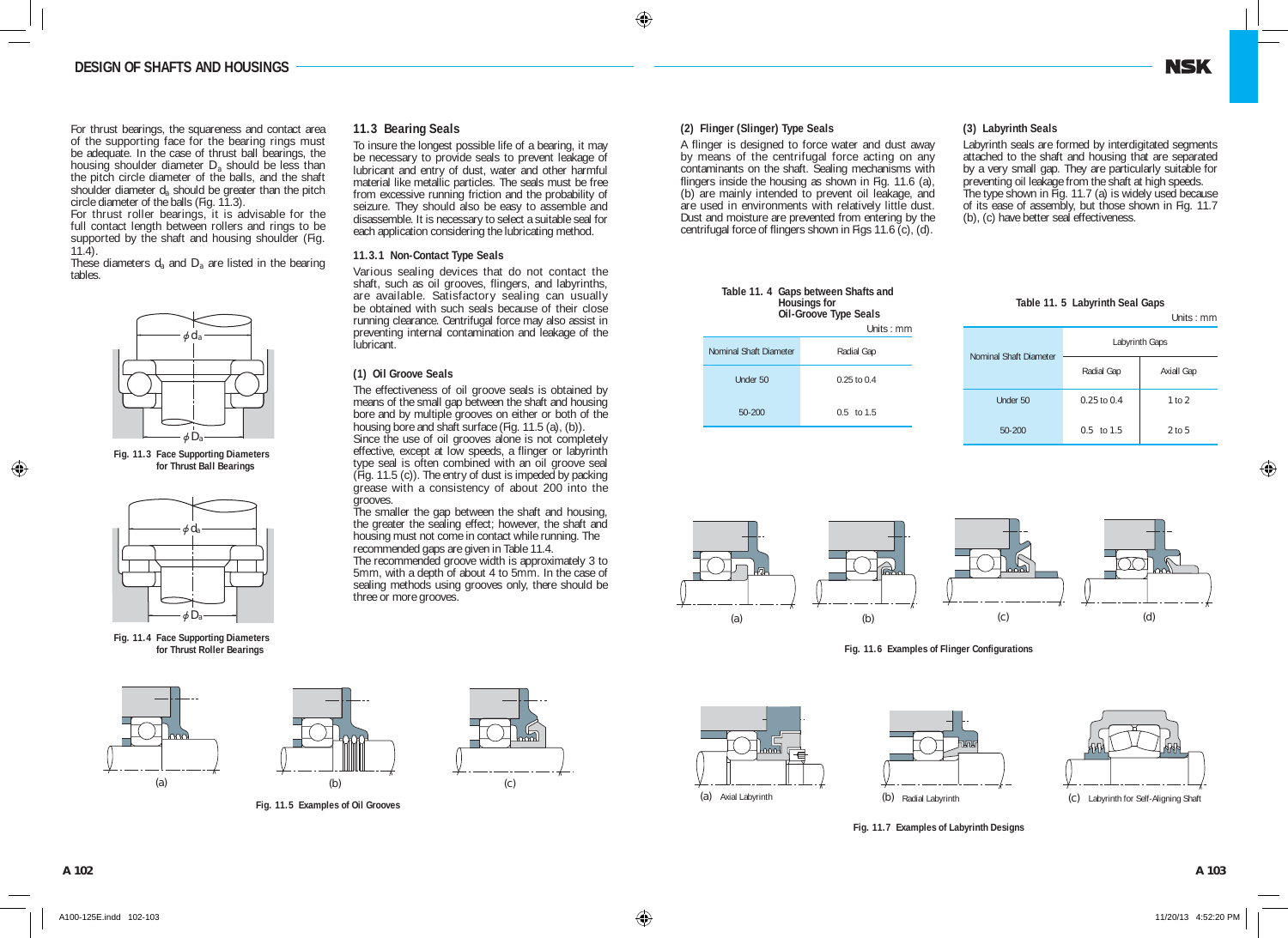For thrust bearings, the squareness and contact area of the supporting face for the bearing rings must be adequate. In the case of thrust ball bearings, the housing shoulder diameter *D*a should be less than the pitch circle diameter of the balls, and the shaft shoulder diameter  $d_a$  should be greater than the pitch circle diameter of the balls (Fig. 11.3).

For thrust roller bearings, it is advisable for the full contact length between rollers and rings to be supported by the shaft and housing shoulder (Fig. 11.4).

These diameters *d*a and *D*a are listed in the bearing tables.



**Fig. 11.3 Face Supporting Diameters Fig. 11. 3 for Thrust Ball Bearings**



**Fig. 11.4 Face Supporting Diameters Fig. 11.4 for Thrust Roller Bearings**





**Fig. 11.5 Examples of Oil Grooves**

|  |  | 11.3 Bearing Seals |  |
|--|--|--------------------|--|
|--|--|--------------------|--|

To insure the longest possible life of a bearing, it may be necessary to provide seals to prevent leakage of lubricant and entry of dust, water and other harmful material like metallic particles. The seals must be free from excessive running friction and the probability of seizure. They should also be easy to assemble and disassemble. It is necessary to select a suitable seal for each application considering the lubricating method.

## **11.3.1 Non-Contact Type Seals**

Various sealing devices that do not contact the shaft, such as oil grooves, flingers, and labyrinths, are available. Satisfactory sealing can usually be obtained with such seals because of their close running clearance. Centrifugal force may also assist in preventing internal contamination and leakage of the lubricant.

# **(1) Oil Groove Seals**

The effectiveness of oil groove seals is obtained by means of the small gap between the shaft and housing bore and by multiple grooves on either or both of the housing bore and shaft surface (Fig. 11.5 (a), (b)).

Since the use of oil grooves alone is not completely effective, except at low speeds, a flinger or labyrinth type seal is often combined with an oil groove seal (Fig. 11.5 (c)). The entry of dust is impeded by packing grease with a consistency of about 200 into the grooves.

The smaller the gap between the shaft and housing, the greater the sealing effect; however, the shaft and housing must not come in contact while running. The recommended gaps are given in Table 11.4.

The recommended groove width is approximately 3 to 5mm, with a depth of about 4 to 5mm. In the case of sealing methods using grooves only, there should be three or more grooves.

# **(2) Flinger (Slinger) Type Seals**

A flinger is designed to force water and dust away by means of the centrifugal force acting on any contaminants on the shaft. Sealing mechanisms with flingers inside the housing as shown in Fig. 11.6 (a), (b) are mainly intended to prevent oil leakage, and are used in environments with relatively little dust. Dust and moisture are prevented from entering by the centrifugal force of flingers shown in Figs 11.6 (c), (d).

## **(3) Labyrinth Seals**

Labyrinth seals are formed by interdigitated segments attached to the shaft and housing that are separated by a very small gap. They are particularly suitable for preventing oil leakage from the shaft at high speeds. The type shown in Fig. 11.7 (a) is widely used because of its ease of assembly, but those shown in Fig. 11.7 (b), (c) have better seal effectiveness.

|                        | Table 11. 4 Gaps between Shafts and<br><b>Housings for</b><br>Oil-Groove Type Seals<br>Units : $mm$ |
|------------------------|-----------------------------------------------------------------------------------------------------|
| Nominal Shaft Diameter | Radial Gap                                                                                          |
| Under 50               | $0.25$ to $0.4$                                                                                     |
| 50-200                 | $0.5$ to 1.5                                                                                        |

| Table TT. 5 Labyrinin Seal Gaps |                 |                   |
|---------------------------------|-----------------|-------------------|
|                                 |                 | Units : $mm$      |
| Nominal Shaft Diameter          | Labyrinth Gaps  |                   |
|                                 | Radial Gap      | <b>Axiall Gap</b> |
| Under 50                        | $0.25$ to $0.4$ | 1 to 2            |
| 50-200                          | $0.5$ to $1.5$  | $2$ to 5          |

**Table 11. 5 Labyrinth Seal Gaps**





**Fig. 11.6 Examples of Flinger Configurations**







**Fig. 11.7 Examples of Labyrinth Designs**